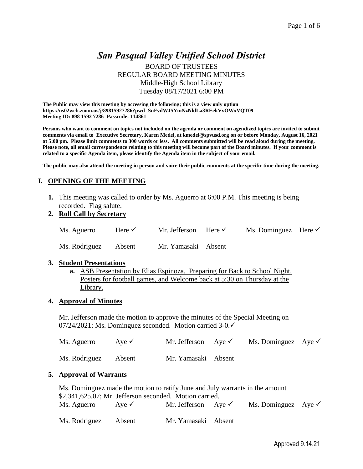# *San Pasqual Valley Unified School District* BOARD OF TRUSTEES REGULAR BOARD MEETING MINUTES Middle-High School Library Tuesday 08/17/2021 6:00 PM

**The Public may view this meeting by accessing the following; this is a view only option https://us02web.zoom.us/j/89815927286?pwd=SnFvdWJ5YmNzNldLa3REekVvOWxVQT09 Meeting ID: 898 1592 7286 Passcode: 114861**

**Persons who want to comment on topics not included on the agenda or comment on agendized topics are invited to submit comments via email to Executive Secretary, Karen Medel, at kmedel@spvusd.org on or before Monday, August 16, 2021 at 5:00 pm. Please limit comments to 300 words or less. All comments submitted will be read aloud during the meeting. Please note, all email correspondence relating to this meeting will become part of the Board minutes. If your comment is related to a specific Agenda item, please identify the Agenda item in the subject of your email.** 

**The public may also attend the meeting in person and voice their public comments at the specific time during the meeting.** 

# **I. OPENING OF THE MEETING**

- **1.** This meeting was called to order by Ms. Aguerro at 6:00 P.M. This meeting is being recorded. Flag salute.
- **2. Roll Call by Secretary**

| Ms. Aguerro          | Here $\checkmark$ | Mr. Jefferson Here $\checkmark$ | Ms. Dominguez Here $\checkmark$ |  |
|----------------------|-------------------|---------------------------------|---------------------------------|--|
| Ms. Rodriguez Absent |                   | Mr. Yamasaki Absent             |                                 |  |

#### **3. Student Presentations**

**a.** ASB Presentation by Elias Espinoza. Preparing for Back to School Night, Posters for football games, and Welcome back at 5:30 on Thursday at the Library.

#### **4. Approval of Minutes**

Mr. Jefferson made the motion to approve the minutes of the Special Meeting on 07/24/2021; Ms. Dominguez seconded. Motion carried 3-0.✓

| Ms. Aguerro          | Aye $\checkmark$ | Mr. Jefferson Aye $\checkmark$ | Ms. Dominguez Aye $\checkmark$ |  |
|----------------------|------------------|--------------------------------|--------------------------------|--|
| Ms. Rodriguez Absent |                  | Mr. Yamasaki Absent            |                                |  |

#### **5. Approval of Warrants**

| Ms. Dominguez made the motion to ratify June and July warrants in the amount |  |                                |  |                                |  |  |  |
|------------------------------------------------------------------------------|--|--------------------------------|--|--------------------------------|--|--|--|
| \$2,341,625.07; Mr. Jefferson seconded. Motion carried.                      |  |                                |  |                                |  |  |  |
| Ms. Aguerro Aye $\checkmark$                                                 |  | Mr. Jefferson Aye $\checkmark$ |  | Ms. Dominguez Aye $\checkmark$ |  |  |  |
| Ms. Rodriguez Absent                                                         |  | Mr. Yamasaki Absent            |  |                                |  |  |  |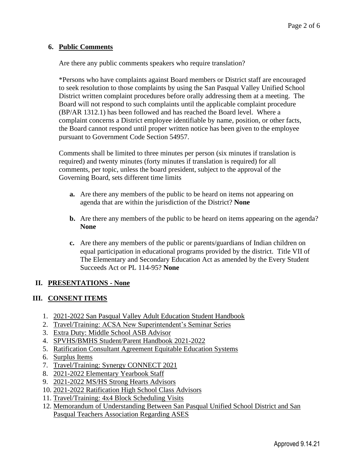## **6. Public Comments**

Are there any public comments speakers who require translation?

\*Persons who have complaints against Board members or District staff are encouraged to seek resolution to those complaints by using the San Pasqual Valley Unified School District written complaint procedures before orally addressing them at a meeting. The Board will not respond to such complaints until the applicable complaint procedure (BP/AR 1312.1) has been followed and has reached the Board level. Where a complaint concerns a District employee identifiable by name, position, or other facts, the Board cannot respond until proper written notice has been given to the employee pursuant to Government Code Section 54957.

Comments shall be limited to three minutes per person (six minutes if translation is required) and twenty minutes (forty minutes if translation is required) for all comments, per topic, unless the board president, subject to the approval of the Governing Board, sets different time limits

- **a.** Are there any members of the public to be heard on items not appearing on agenda that are within the jurisdiction of the District? **None**
- **b.** Are there any members of the public to be heard on items appearing on the agenda? **None**
- **c.** Are there any members of the public or parents/guardians of Indian children on equal participation in educational programs provided by the district. Title VII of The Elementary and Secondary Education Act as amended by the Every Student Succeeds Act or PL 114-95? **None**

# **II. PRESENTATIONS - None**

# **III. CONSENT ITEMS**

- 1. 2021-2022 San Pasqual Valley Adult Education Student Handbook
- 2. Travel/Training: ACSA New Superintendent's Seminar Series
- 3. Extra Duty: Middle School ASB Advisor
- 4. SPVHS/BMHS Student/Parent Handbook 2021-2022
- 5. Ratification Consultant Agreement Equitable Education Systems
- 6. Surplus Items
- 7. Travel/Training: Synergy CONNECT 2021
- 8. 2021-2022 Elementary Yearbook Staff
- 9. 2021-2022 MS/HS Strong Hearts Advisors
- 10. 2021-2022 Ratification High School Class Advisors
- 11. Travel/Training: 4x4 Block Scheduling Visits
- 12. Memorandum of Understanding Between San Pasqual Unified School District and San Pasqual Teachers Association Regarding ASES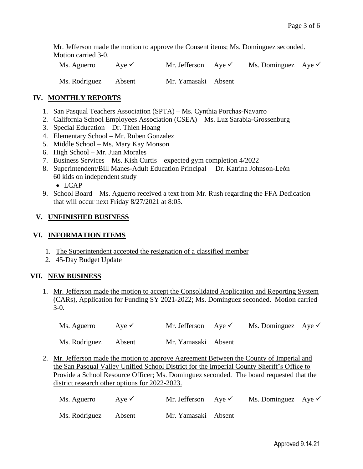Mr. Jefferson made the motion to approve the Consent items; Ms. Dominguez seconded. Motion carried 3-0.

Ms. Aguerro Aye <del>V</del> Mr. Jefferson Aye V Ms. Dominguez Aye V Ms. Rodriguez Absent Mr. Yamasaki Absent

## **IV. MONTHLY REPORTS**

- 1. San Pasqual Teachers Association (SPTA) Ms. Cynthia Porchas-Navarro
- 2. California School Employees Association (CSEA) Ms. Luz Sarabia-Grossenburg
- 3. Special Education Dr. Thien Hoang
- 4. Elementary School Mr. Ruben Gonzalez
- 5. Middle School Ms. Mary Kay Monson
- 6. High School Mr. Juan Morales
- 7. Business Services Ms. Kish Curtis expected gym completion 4/2022
- 8. Superintendent/Bill Manes-Adult Education Principal Dr. Katrina Johnson-León 60 kids on independent study
	- LCAP
- 9. School Board Ms. Aguerro received a text from Mr. Rush regarding the FFA Dedication that will occur next Friday 8/27/2021 at 8:05.

#### **V. UNFINISHED BUSINESS**

#### **VI. INFORMATION ITEMS**

- 1. The Superintendent accepted the resignation of a classified member
- 2. 45-Day Budget Update

#### **VII. NEW BUSINESS**

1. Mr. Jefferson made the motion to accept the Consolidated Application and Reporting System (CARs), Application for Funding SY 2021-2022; Ms. Dominguez seconded. Motion carried  $3-0.$ 

Ms. Aguerro Aye <del>V</del> Mr. Jefferson Aye V Ms. Dominguez Aye V

Ms. Rodriguez Absent Mr. Yamasaki Absent

2. Mr. Jefferson made the motion to approve Agreement Between the County of Imperial and the San Pasqual Valley Unified School District for the Imperial County Sheriff's Office to Provide a School Resource Officer; Ms. Dominguez seconded. The board requested that the district research other options for 2022-2023.

| Ms. Aguerro | Aye $\checkmark$ | Mr. Jefferson Aye $\checkmark$ | Ms. Dominguez Aye $\checkmark$ |  |
|-------------|------------------|--------------------------------|--------------------------------|--|
|             |                  |                                |                                |  |

Ms. Rodriguez Absent Mr. Yamasaki Absent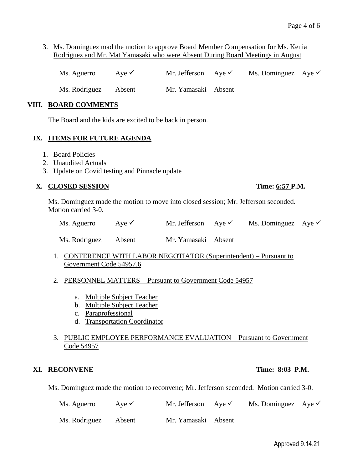3. Ms. Dominguez mad the motion to approve Board Member Compensation for Ms. Kenia Rodriguez and Mr. Mat Yamasaki who were Absent During Board Meetings in August

Ms. Aguerro Aye  $\checkmark$  Mr. Jefferson Aye  $\checkmark$  Ms. Dominguez Aye  $\checkmark$ 

Ms. Rodriguez Absent Mr. Yamasaki Absent

### **VIII. BOARD COMMENTS**

The Board and the kids are excited to be back in person.

#### **IX. ITEMS FOR FUTURE AGENDA**

- 1. Board Policies
- 2. Unaudited Actuals
- 3. Update on Covid testing and Pinnacle update

## **X. CLOSED SESSION Time: 6:57 P.M.**

Ms. Dominguez made the motion to move into closed session; Mr. Jefferson seconded. Motion carried 3-0.

| Ms. Aguerro | Aye $\checkmark$ | Mr. Jefferson Aye $\checkmark$ | Ms. Dominguez Aye $\checkmark$ |  |
|-------------|------------------|--------------------------------|--------------------------------|--|
|             |                  |                                |                                |  |

Ms. Rodriguez Absent Mr. Yamasaki Absent

1. CONFERENCE WITH LABOR NEGOTIATOR (Superintendent) – Pursuant to Government Code 54957.6

## 2. PERSONNEL MATTERS – Pursuant to Government Code 54957

- a. Multiple Subject Teacher
- b. Multiple Subject Teacher
- c. Paraprofessional
- d. Transportation Coordinator

## 3. PUBLIC EMPLOYEE PERFORMANCE EVALUATION – Pursuant to Government Code 54957

#### **XI. RECONVENE Time: 8:03 P.M.**

Ms. Dominguez made the motion to reconvene; Mr. Jefferson seconded. Motion carried 3-0.

| Ms. Aguerro   | Ave $\checkmark$ | Mr. Jefferson Aye $\checkmark$ | Ms. Dominguez Aye $\checkmark$ |  |
|---------------|------------------|--------------------------------|--------------------------------|--|
| Ms. Rodriguez | Absent           | Mr. Yamasaki Absent            |                                |  |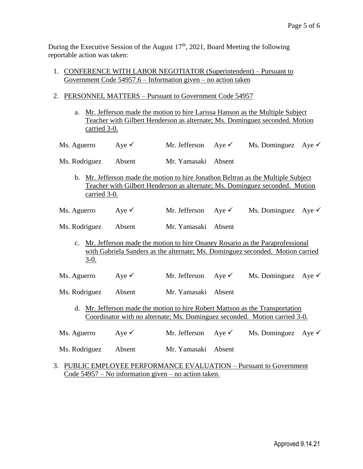During the Executive Session of the August  $17<sup>th</sup>$ , 2021, Board Meeting the following reportable action was taken:

- 1. CONFERENCE WITH LABOR NEGOTIATOR (Superintendent) Pursuant to Government Code 54957.6 – Information given – no action taken
- 2. PERSONNEL MATTERS Pursuant to Government Code 54957
	- a. Mr. Jefferson made the motion to hire Larissa Hanson as the Multiple Subject Teacher with Gilbert Henderson as alternate; Ms. Dominguez seconded. Motion carried 3-0.
	- Ms. Aguerro Aye <del>V</del> Mr. Jefferson Aye V Ms. Dominguez Aye V
	- Ms. Rodriguez Absent Mr. Yamasaki Absent
		- b. Mr. Jefferson made the motion to hire Jonathon Beltran as the Multiple Subject Teacher with Gilbert Henderson as alternate; Ms. Dominguez seconded. Motion carried 3-0.
	- Ms. Aguerro Aye <del>V</del> Mr. Jefferson Aye V Ms. Dominguez Aye V
	- Ms. Rodriguez Absent Mr. Yamasaki Absent
		- c. Mr. Jefferson made the motion to hire Onaney Rosario as the Paraprofessional with Gabriela Sanders as the alternate; Ms. Dominguez seconded. Motion carried 3-0.
	- Ms. Aguerro Aye <del>V</del> Mr. Jefferson Aye V Ms. Dominguez Aye V
	- Ms. Rodriguez Absent Mr. Yamasaki Absent
		- d. Mr. Jefferson made the motion to hire Robert Mattson as the Transportation Coordinator with no alternate; Ms. Dominguez seconded. Motion carried 3-0.
	- Ms. Aguerro Aye <del>V</del> Mr. Jefferson Aye V Ms. Dominguez Aye V
	- Ms. Rodriguez Absent Mr. Yamasaki Absent
- 3. PUBLIC EMPLOYEE PERFORMANCE EVALUATION Pursuant to Government Code 54957 – No information given – no action taken.